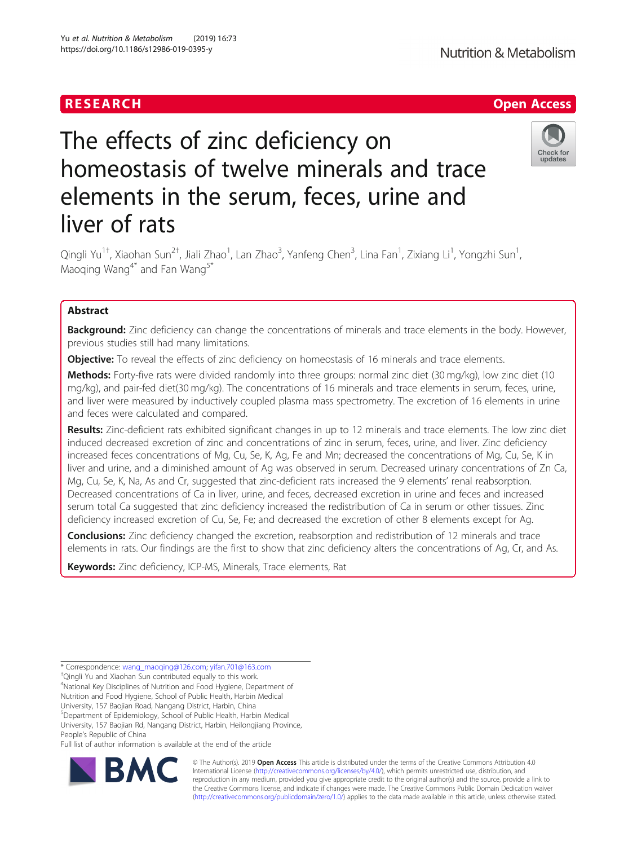Yu et al. Nutrition & Metabolism (2019) 16:73 https://doi.org/10.1186/s12986-019-0395-y

# The effects of zinc deficiency on homeostasis of twelve minerals and trace elements in the serum, feces, urine and liver of rats



Qingli Yu<sup>1†</sup>, Xiaohan Sun<sup>2†</sup>, Jiali Zhao<sup>1</sup>, Lan Zhao<sup>3</sup>, Yanfeng Chen<sup>3</sup>, Lina Fan<sup>1</sup>, Zixiang Li<sup>1</sup>, Yongzhi Sun<sup>1</sup> , Maoqing Wang<sup>4\*</sup> and Fan Wang<sup>5\*</sup>

## Abstract

Background: Zinc deficiency can change the concentrations of minerals and trace elements in the body. However, previous studies still had many limitations.

**Objective:** To reveal the effects of zinc deficiency on homeostasis of 16 minerals and trace elements.

Methods: Forty-five rats were divided randomly into three groups: normal zinc diet (30 mg/kg), low zinc diet (10 mg/kg), and pair-fed diet(30 mg/kg). The concentrations of 16 minerals and trace elements in serum, feces, urine, and liver were measured by inductively coupled plasma mass spectrometry. The excretion of 16 elements in urine and feces were calculated and compared.

Results: Zinc-deficient rats exhibited significant changes in up to 12 minerals and trace elements. The low zinc diet induced decreased excretion of zinc and concentrations of zinc in serum, feces, urine, and liver. Zinc deficiency increased feces concentrations of Mg, Cu, Se, K, Ag, Fe and Mn; decreased the concentrations of Mg, Cu, Se, K in liver and urine, and a diminished amount of Ag was observed in serum. Decreased urinary concentrations of Zn Ca, Mg, Cu, Se, K, Na, As and Cr, suggested that zinc-deficient rats increased the 9 elements' renal reabsorption. Decreased concentrations of Ca in liver, urine, and feces, decreased excretion in urine and feces and increased serum total Ca suggested that zinc deficiency increased the redistribution of Ca in serum or other tissues. Zinc deficiency increased excretion of Cu, Se, Fe; and decreased the excretion of other 8 elements except for Ag.

**Conclusions:** Zinc deficiency changed the excretion, reabsorption and redistribution of 12 minerals and trace elements in rats. Our findings are the first to show that zinc deficiency alters the concentrations of Ag, Cr, and As.

Keywords: Zinc deficiency, ICP-MS, Minerals, Trace elements, Rat

<sup>+</sup>Qingli Yu and Xiaohan Sun contributed equally to this work.

4 National Key Disciplines of Nutrition and Food Hygiene, Department of Nutrition and Food Hygiene, School of Public Health, Harbin Medical

University, 157 Baojian Road, Nangang District, Harbin, China

5 Department of Epidemiology, School of Public Health, Harbin Medical

University, 157 Baojian Rd, Nangang District, Harbin, Heilongjiang Province, People's Republic of China

Full list of author information is available at the end of the article



© The Author(s). 2019 **Open Access** This article is distributed under the terms of the Creative Commons Attribution 4.0 International License [\(http://creativecommons.org/licenses/by/4.0/](http://creativecommons.org/licenses/by/4.0/)), which permits unrestricted use, distribution, and reproduction in any medium, provided you give appropriate credit to the original author(s) and the source, provide a link to the Creative Commons license, and indicate if changes were made. The Creative Commons Public Domain Dedication waiver [\(http://creativecommons.org/publicdomain/zero/1.0/](http://creativecommons.org/publicdomain/zero/1.0/)) applies to the data made available in this article, unless otherwise stated.

<sup>\*</sup> Correspondence: [wang\\_maoqing@126.com](mailto:wang_maoqing@126.com); [yifan.701@163.com](mailto:yifan.701@163.com) †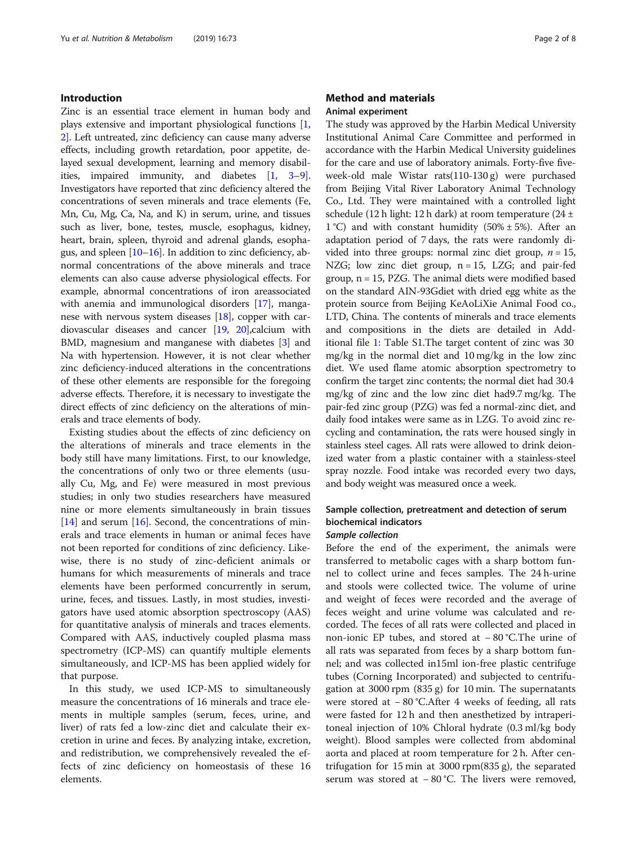## Introduction

Zinc is an essential trace element in human body and plays extensive and important physiological functions [[1](#page-7-0), [2\]](#page-7-0). Left untreated, zinc deficiency can cause many adverse effects, including growth retardation, poor appetite, delayed sexual development, learning and memory disabilities, impaired immunity, and diabetes [[1,](#page-7-0) [3](#page-7-0)–[9](#page-7-0)]. Investigators have reported that zinc deficiency altered the concentrations of seven minerals and trace elements (Fe, Mn, Cu, Mg, Ca, Na, and K) in serum, urine, and tissues such as liver, bone, testes, muscle, esophagus, kidney, heart, brain, spleen, thyroid and adrenal glands, esophagus, and spleen [\[10](#page-7-0)–[16\]](#page-7-0). In addition to zinc deficiency, abnormal concentrations of the above minerals and trace elements can also cause adverse physiological effects. For example, abnormal concentrations of iron areassociated with anemia and immunological disorders [[17](#page-7-0)], manganese with nervous system diseases [[18](#page-7-0)], copper with cardiovascular diseases and cancer [[19](#page-7-0), [20](#page-7-0)],calcium with BMD, magnesium and manganese with diabetes [[3](#page-7-0)] and Na with hypertension. However, it is not clear whether zinc deficiency-induced alterations in the concentrations of these other elements are responsible for the foregoing adverse effects. Therefore, it is necessary to investigate the direct effects of zinc deficiency on the alterations of minerals and trace elements of body.

Existing studies about the effects of zinc deficiency on the alterations of minerals and trace elements in the body still have many limitations. First, to our knowledge, the concentrations of only two or three elements (usually Cu, Mg, and Fe) were measured in most previous studies; in only two studies researchers have measured nine or more elements simultaneously in brain tissues  $[14]$  $[14]$  and serum  $[16]$  $[16]$ . Second, the concentrations of minerals and trace elements in human or animal feces have not been reported for conditions of zinc deficiency. Likewise, there is no study of zinc-deficient animals or humans for which measurements of minerals and trace elements have been performed concurrently in serum, urine, feces, and tissues. Lastly, in most studies, investigators have used atomic absorption spectroscopy (AAS) for quantitative analysis of minerals and traces elements. Compared with AAS, inductively coupled plasma mass spectrometry (ICP-MS) can quantify multiple elements simultaneously, and ICP-MS has been applied widely for that purpose.

In this study, we used ICP-MS to simultaneously measure the concentrations of 16 minerals and trace elements in multiple samples (serum, feces, urine, and liver) of rats fed a low-zinc diet and calculate their excretion in urine and feces. By analyzing intake, excretion, and redistribution, we comprehensively revealed the effects of zinc deficiency on homeostasis of these 16 elements.

## Method and materials Animal experiment

The study was approved by the Harbin Medical University Institutional Animal Care Committee and performed in accordance with the Harbin Medical University guidelines for the care and use of laboratory animals. Forty-five fiveweek-old male Wistar rats(110-130 g) were purchased from Beijing Vital River Laboratory Animal Technology Co., Ltd. They were maintained with a controlled light schedule (12 h light: 12 h dark) at room temperature (24 ± 1 °C) and with constant humidity  $(50\% \pm 5\%)$ . After an adaptation period of 7 days, the rats were randomly divided into three groups: normal zinc diet group,  $n = 15$ , NZG; low zinc diet group,  $n = 15$ , LZG; and pair-fed group, n = 15, PZG. The animal diets were modified based on the standard AIN-93Gdiet with dried egg white as the protein source from Beijing KeAoLiXie Animal Food co., LTD, China. The contents of minerals and trace elements and compositions in the diets are detailed in Additional file [1:](#page-6-0) Table S1.The target content of zinc was 30 mg/kg in the normal diet and 10 mg/kg in the low zinc diet. We used flame atomic absorption spectrometry to confirm the target zinc contents; the normal diet had 30.4 mg/kg of zinc and the low zinc diet had9.7 mg/kg. The pair-fed zinc group (PZG) was fed a normal-zinc diet, and daily food intakes were same as in LZG. To avoid zinc recycling and contamination, the rats were housed singly in stainless steel cages. All rats were allowed to drink deionized water from a plastic container with a stainless-steel spray nozzle. Food intake was recorded every two days, and body weight was measured once a week.

## Sample collection, pretreatment and detection of serum biochemical indicators

## Sample collection

Before the end of the experiment, the animals were transferred to metabolic cages with a sharp bottom funnel to collect urine and feces samples. The 24 h-urine and stools were collected twice. The volume of urine and weight of feces were recorded and the average of feces weight and urine volume was calculated and recorded. The feces of all rats were collected and placed in non-ionic EP tubes, and stored at − 80 °C.The urine of all rats was separated from feces by a sharp bottom funnel; and was collected in15ml ion-free plastic centrifuge tubes (Corning Incorporated) and subjected to centrifugation at 3000 rpm (835 g) for 10 min. The supernatants were stored at − 80 °C.After 4 weeks of feeding, all rats were fasted for 12 h and then anesthetized by intraperitoneal injection of 10% Chloral hydrate (0.3 ml/kg body weight). Blood samples were collected from abdominal aorta and placed at room temperature for 2 h. After centrifugation for 15 min at 3000 rpm(835 g), the separated serum was stored at − 80 °C. The livers were removed,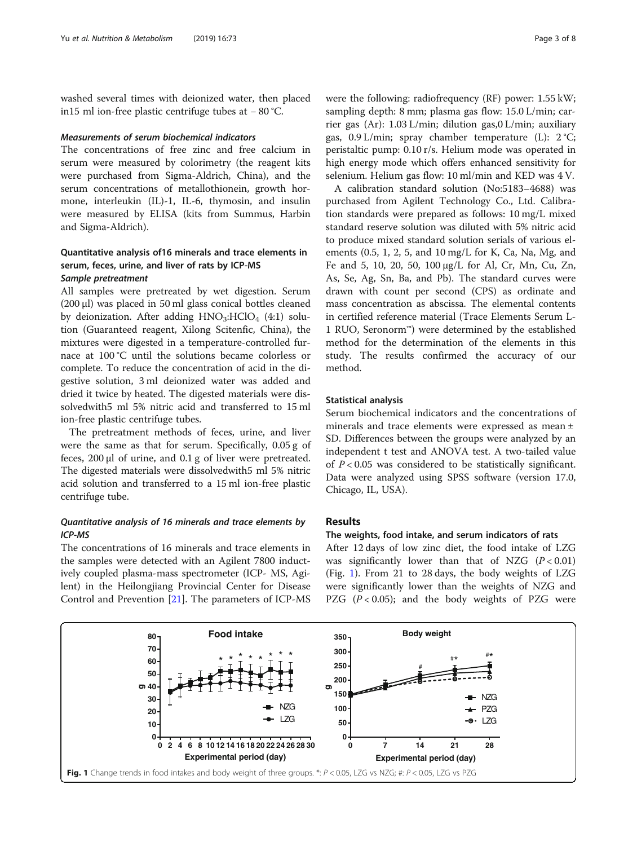<span id="page-2-0"></span>washed several times with deionized water, then placed in15 ml ion-free plastic centrifuge tubes at − 80 °C.

#### Measurements of serum biochemical indicators

The concentrations of free zinc and free calcium in serum were measured by colorimetry (the reagent kits were purchased from Sigma-Aldrich, China), and the serum concentrations of metallothionein, growth hormone, interleukin (IL)-1, IL-6, thymosin, and insulin were measured by ELISA (kits from Summus, Harbin and Sigma-Aldrich).

## Quantitative analysis of16 minerals and trace elements in serum, feces, urine, and liver of rats by ICP-MS Sample pretreatment

All samples were pretreated by wet digestion. Serum (200 μl) was placed in 50 ml glass conical bottles cleaned by deionization. After adding  $HNO<sub>3</sub>:HClO<sub>4</sub> (4:1)$  solution (Guaranteed reagent, Xilong Scitenfic, China), the mixtures were digested in a temperature-controlled furnace at 100 °C until the solutions became colorless or complete. To reduce the concentration of acid in the digestive solution, 3 ml deionized water was added and dried it twice by heated. The digested materials were dissolvedwith5 ml 5% nitric acid and transferred to 15 ml ion-free plastic centrifuge tubes.

The pretreatment methods of feces, urine, and liver were the same as that for serum. Specifically, 0.05 g of feces, 200 μl of urine, and 0.1 g of liver were pretreated. The digested materials were dissolvedwith5 ml 5% nitric acid solution and transferred to a 15 ml ion-free plastic centrifuge tube.

## Quantitative analysis of 16 minerals and trace elements by ICP-MS

The concentrations of 16 minerals and trace elements in the samples were detected with an Agilent 7800 inductively coupled plasma-mass spectrometer (ICP- MS, Agilent) in the Heilongjiang Provincial Center for Disease Control and Prevention [\[21](#page-7-0)]. The parameters of ICP-MS were the following: radiofrequency (RF) power: 1.55 kW; sampling depth: 8 mm; plasma gas flow: 15.0 L/min; carrier gas (Ar): 1.03 L/min; dilution gas,0 L/min; auxiliary gas,  $0.9$  L/min; spray chamber temperature (L):  $2^{\circ}C$ ; peristaltic pump: 0.10 r/s. Helium mode was operated in high energy mode which offers enhanced sensitivity for selenium. Helium gas flow: 10 ml/min and KED was 4 V.

A calibration standard solution (No:5183–4688) was purchased from Agilent Technology Co., Ltd. Calibration standards were prepared as follows: 10 mg/L mixed standard reserve solution was diluted with 5% nitric acid to produce mixed standard solution serials of various elements (0.5, 1, 2, 5, and 10 mg/L for K, Ca, Na, Mg, and Fe and 5, 10, 20, 50, 100 μg/L for Al, Cr, Mn, Cu, Zn, As, Se, Ag, Sn, Ba, and Pb). The standard curves were drawn with count per second (CPS) as ordinate and mass concentration as abscissa. The elemental contents in certified reference material (Trace Elements Serum L-1 RUO, Seronorm™) were determined by the established method for the determination of the elements in this study. The results confirmed the accuracy of our method.

#### Statistical analysis

Serum biochemical indicators and the concentrations of minerals and trace elements were expressed as mean ± SD. Differences between the groups were analyzed by an independent t test and ANOVA test. A two-tailed value of  $P < 0.05$  was considered to be statistically significant. Data were analyzed using SPSS software (version 17.0, Chicago, IL, USA).

## Results

#### The weights, food intake, and serum indicators of rats

After 12 days of low zinc diet, the food intake of LZG was significantly lower than that of NZG  $(P < 0.01)$ (Fig. 1). From 21 to 28 days, the body weights of LZG were significantly lower than the weights of NZG and PZG  $(P < 0.05)$ ; and the body weights of PZG were

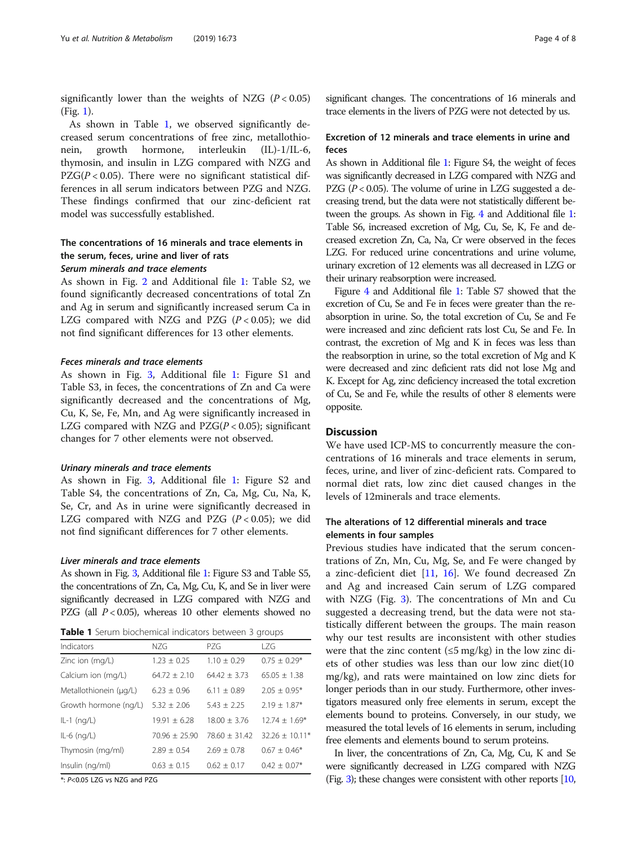<span id="page-3-0"></span>significantly lower than the weights of NZG  $(P < 0.05)$ (Fig. [1](#page-2-0)).

As shown in Table 1, we observed significantly decreased serum concentrations of free zinc, metallothionein, growth hormone, interleukin (IL)-1/IL-6, thymosin, and insulin in LZG compared with NZG and  $PZG(P < 0.05)$ . There were no significant statistical differences in all serum indicators between PZG and NZG. These findings confirmed that our zinc-deficient rat model was successfully established.

## The concentrations of 16 minerals and trace elements in the serum, feces, urine and liver of rats Serum minerals and trace elements

As shown in Fig. [2](#page-4-0) and Additional file [1:](#page-6-0) Table S2, we found significantly decreased concentrations of total Zn and Ag in serum and significantly increased serum Ca in LZG compared with NZG and PZG  $(P < 0.05)$ ; we did not find significant differences for 13 other elements.

## Feces minerals and trace elements

As shown in Fig. [3,](#page-4-0) Additional file [1:](#page-6-0) Figure S1 and Table S3, in feces, the concentrations of Zn and Ca were significantly decreased and the concentrations of Mg, Cu, K, Se, Fe, Mn, and Ag were significantly increased in LZG compared with NZG and  $PZG(P< 0.05)$ ; significant changes for 7 other elements were not observed.

#### Urinary minerals and trace elements

As shown in Fig. [3,](#page-4-0) Additional file [1:](#page-6-0) Figure S2 and Table S4, the concentrations of Zn, Ca, Mg, Cu, Na, K, Se, Cr, and As in urine were significantly decreased in LZG compared with NZG and PZG  $(P < 0.05)$ ; we did not find significant differences for 7 other elements.

#### Liver minerals and trace elements

As shown in Fig. [3](#page-4-0), Additional file [1](#page-6-0): Figure S3 and Table S5, the concentrations of Zn, Ca, Mg, Cu, K, and Se in liver were significantly decreased in LZG compared with NZG and PZG (all  $P < 0.05$ ), whereas 10 other elements showed no

Table 1 Serum biochemical indicators between 3 groups

| Indicators             | N7G              | P7G             | 17G              |
|------------------------|------------------|-----------------|------------------|
| Zinc ion (mg/L)        | $1.23 + 0.25$    | $1.10 + 0.29$   | $0.75 + 0.29*$   |
| Calcium ion (mg/L)     | $64.72 \pm 2.10$ | $64.42 + 3.73$  | $65.05 + 1.38$   |
| Metallothionein (µg/L) | $6.23 + 0.96$    | $6.11 + 0.89$   | $2.05 + 0.95*$   |
| Growth hormone (ng/L)  | $5.32 + 2.06$    | $5.43 + 2.25$   | $2.19 \pm 1.87*$ |
| $IL-1$ (ng/L)          | $19.91 + 6.28$   | $18.00 + 3.76$  | $12.74 + 1.69*$  |
| $IL-6$ (ng/L)          | $70.96 + 25.90$  | $78.60 + 31.42$ | $32.26 + 10.11*$ |
| Thymosin (mg/ml)       | $7.89 + 0.54$    | $2.69 + 0.78$   | $0.67 \pm 0.46*$ |
| Insulin (ng/ml)        | $0.63 \pm 0.15$  | $0.62 + 0.17$   | $0.42 \pm 0.07*$ |

\*: P<0.05 LZG vs NZG and PZG

significant changes. The concentrations of 16 minerals and trace elements in the livers of PZG were not detected by us.

## Excretion of 12 minerals and trace elements in urine and feces

As shown in Additional file [1](#page-6-0): Figure S4, the weight of feces was significantly decreased in LZG compared with NZG and PZG ( $P < 0.05$ ). The volume of urine in LZG suggested a decreasing trend, but the data were not statistically different between the groups. As shown in Fig. [4](#page-5-0) and Additional file [1](#page-6-0): Table S6, increased excretion of Mg, Cu, Se, K, Fe and decreased excretion Zn, Ca, Na, Cr were observed in the feces LZG. For reduced urine concentrations and urine volume, urinary excretion of 12 elements was all decreased in LZG or their urinary reabsorption were increased.

Figure [4](#page-5-0) and Additional file [1:](#page-6-0) Table S7 showed that the excretion of Cu, Se and Fe in feces were greater than the reabsorption in urine. So, the total excretion of Cu, Se and Fe were increased and zinc deficient rats lost Cu, Se and Fe. In contrast, the excretion of Mg and K in feces was less than the reabsorption in urine, so the total excretion of Mg and K were decreased and zinc deficient rats did not lose Mg and K. Except for Ag, zinc deficiency increased the total excretion of Cu, Se and Fe, while the results of other 8 elements were opposite.

## **Discussion**

We have used ICP-MS to concurrently measure the concentrations of 16 minerals and trace elements in serum, feces, urine, and liver of zinc-deficient rats. Compared to normal diet rats, low zinc diet caused changes in the levels of 12minerals and trace elements.

## The alterations of 12 differential minerals and trace elements in four samples

Previous studies have indicated that the serum concentrations of Zn, Mn, Cu, Mg, Se, and Fe were changed by a zinc-deficient diet [\[11](#page-7-0), [16](#page-7-0)]. We found decreased Zn and Ag and increased Cain serum of LZG compared with NZG (Fig. [3\)](#page-4-0). The concentrations of Mn and Cu suggested a decreasing trend, but the data were not statistically different between the groups. The main reason why our test results are inconsistent with other studies were that the zinc content  $(\leq 5 \text{ mg/kg})$  in the low zinc diets of other studies was less than our low zinc diet(10 mg/kg), and rats were maintained on low zinc diets for longer periods than in our study. Furthermore, other investigators measured only free elements in serum, except the elements bound to proteins. Conversely, in our study, we measured the total levels of 16 elements in serum, including free elements and elements bound to serum proteins.

In liver, the concentrations of Zn, Ca, Mg, Cu, K and Se were significantly decreased in LZG compared with NZG (Fig. [3](#page-4-0)); these changes were consistent with other reports [\[10](#page-7-0),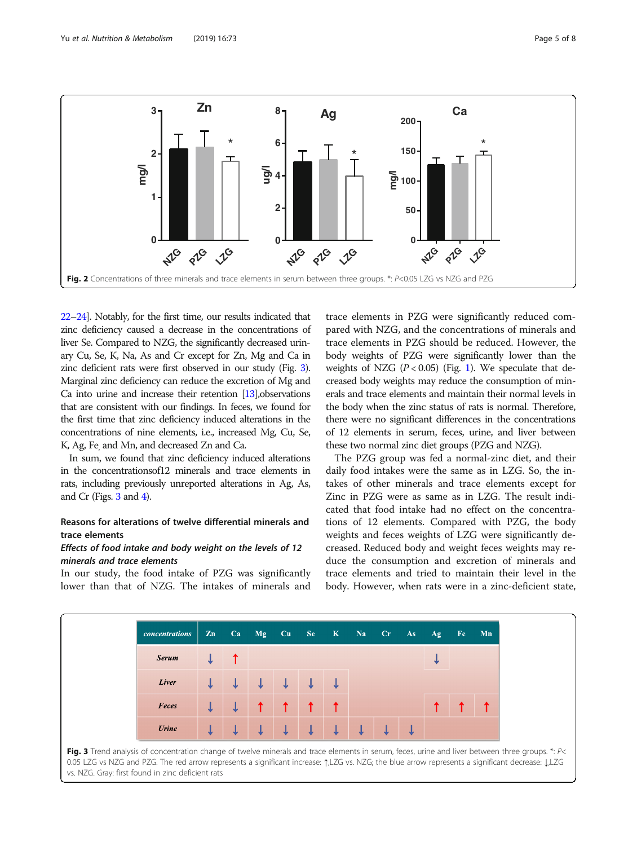<span id="page-4-0"></span>

[22](#page-7-0)–[24\]](#page-7-0). Notably, for the first time, our results indicated that zinc deficiency caused a decrease in the concentrations of liver Se. Compared to NZG, the significantly decreased urinary Cu, Se, K, Na, As and Cr except for Zn, Mg and Ca in zinc deficient rats were first observed in our study (Fig. 3). Marginal zinc deficiency can reduce the excretion of Mg and Ca into urine and increase their retention [\[13](#page-7-0)],observations that are consistent with our findings. In feces, we found for the first time that zinc deficiency induced alterations in the concentrations of nine elements, i.e., increased Mg, Cu, Se, K, Ag, Fe, and Mn, and decreased Zn and Ca.

In sum, we found that zinc deficiency induced alterations in the concentrationsof12 minerals and trace elements in rats, including previously unreported alterations in Ag, As, and Cr (Figs. 3 and [4\)](#page-5-0).

## Reasons for alterations of twelve differential minerals and trace elements

## Effects of food intake and body weight on the levels of 12 minerals and trace elements

In our study, the food intake of PZG was significantly lower than that of NZG. The intakes of minerals and

trace elements in PZG were significantly reduced compared with NZG, and the concentrations of minerals and trace elements in PZG should be reduced. However, the body weights of PZG were significantly lower than the weights of NZG  $(P < 0.05)$  (Fig. [1\)](#page-2-0). We speculate that decreased body weights may reduce the consumption of minerals and trace elements and maintain their normal levels in the body when the zinc status of rats is normal. Therefore, there were no significant differences in the concentrations of 12 elements in serum, feces, urine, and liver between these two normal zinc diet groups (PZG and NZG).

The PZG group was fed a normal-zinc diet, and their daily food intakes were the same as in LZG. So, the intakes of other minerals and trace elements except for Zinc in PZG were as same as in LZG. The result indicated that food intake had no effect on the concentrations of 12 elements. Compared with PZG, the body weights and feces weights of LZG were significantly decreased. Reduced body and weight feces weights may reduce the consumption and excretion of minerals and trace elements and tried to maintain their level in the body. However, when rats were in a zinc-deficient state,

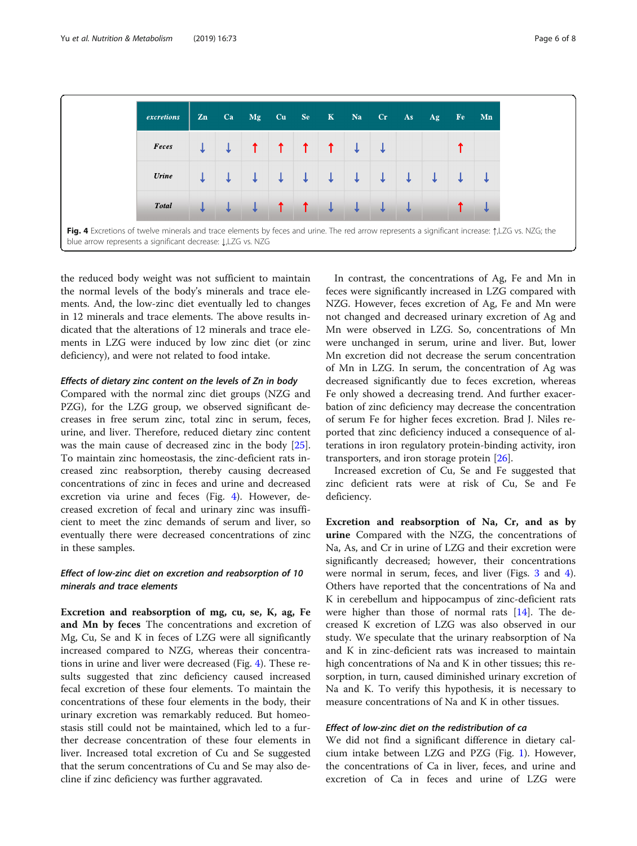<span id="page-5-0"></span>

the reduced body weight was not sufficient to maintain the normal levels of the body's minerals and trace elements. And, the low-zinc diet eventually led to changes in 12 minerals and trace elements. The above results indicated that the alterations of 12 minerals and trace elements in LZG were induced by low zinc diet (or zinc deficiency), and were not related to food intake.

#### Effects of dietary zinc content on the levels of Zn in body

Compared with the normal zinc diet groups (NZG and PZG), for the LZG group, we observed significant decreases in free serum zinc, total zinc in serum, feces, urine, and liver. Therefore, reduced dietary zinc content was the main cause of decreased zinc in the body [\[25](#page-7-0)]. To maintain zinc homeostasis, the zinc-deficient rats increased zinc reabsorption, thereby causing decreased concentrations of zinc in feces and urine and decreased excretion via urine and feces (Fig. 4). However, decreased excretion of fecal and urinary zinc was insufficient to meet the zinc demands of serum and liver, so eventually there were decreased concentrations of zinc in these samples.

## Effect of low-zinc diet on excretion and reabsorption of 10 minerals and trace elements

Excretion and reabsorption of mg, cu, se, K, ag, Fe and Mn by feces The concentrations and excretion of Mg, Cu, Se and K in feces of LZG were all significantly increased compared to NZG, whereas their concentrations in urine and liver were decreased (Fig. 4). These results suggested that zinc deficiency caused increased fecal excretion of these four elements. To maintain the concentrations of these four elements in the body, their urinary excretion was remarkably reduced. But homeostasis still could not be maintained, which led to a further decrease concentration of these four elements in liver. Increased total excretion of Cu and Se suggested that the serum concentrations of Cu and Se may also decline if zinc deficiency was further aggravated.

In contrast, the concentrations of Ag, Fe and Mn in feces were significantly increased in LZG compared with NZG. However, feces excretion of Ag, Fe and Mn were not changed and decreased urinary excretion of Ag and Mn were observed in LZG. So, concentrations of Mn were unchanged in serum, urine and liver. But, lower Mn excretion did not decrease the serum concentration of Mn in LZG. In serum, the concentration of Ag was decreased significantly due to feces excretion, whereas Fe only showed a decreasing trend. And further exacerbation of zinc deficiency may decrease the concentration of serum Fe for higher feces excretion. Brad J. Niles reported that zinc deficiency induced a consequence of alterations in iron regulatory protein-binding activity, iron transporters, and iron storage protein [[26\]](#page-7-0).

Increased excretion of Cu, Se and Fe suggested that zinc deficient rats were at risk of Cu, Se and Fe deficiency.

Excretion and reabsorption of Na, Cr, and as by urine Compared with the NZG, the concentrations of Na, As, and Cr in urine of LZG and their excretion were significantly decreased; however, their concentrations were normal in serum, feces, and liver (Figs. [3](#page-4-0) and 4). Others have reported that the concentrations of Na and K in cerebellum and hippocampus of zinc-deficient rats were higher than those of normal rats [\[14](#page-7-0)]. The decreased K excretion of LZG was also observed in our study. We speculate that the urinary reabsorption of Na and K in zinc-deficient rats was increased to maintain high concentrations of Na and K in other tissues; this resorption, in turn, caused diminished urinary excretion of Na and K. To verify this hypothesis, it is necessary to measure concentrations of Na and K in other tissues.

## Effect of low-zinc diet on the redistribution of ca

We did not find a significant difference in dietary calcium intake between LZG and PZG (Fig. [1](#page-2-0)). However, the concentrations of Ca in liver, feces, and urine and excretion of Ca in feces and urine of LZG were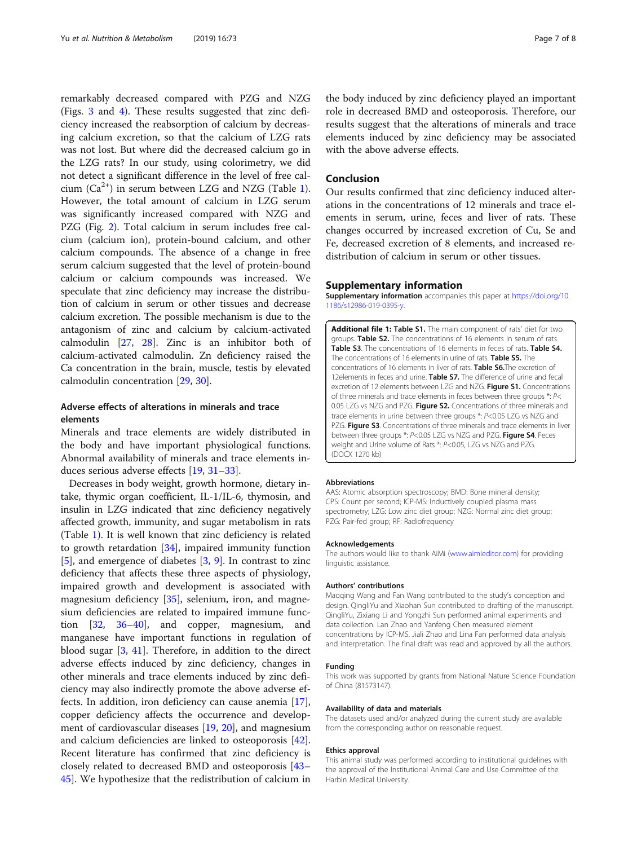<span id="page-6-0"></span>remarkably decreased compared with PZG and NZG (Figs. [3](#page-4-0) and [4](#page-5-0)). These results suggested that zinc deficiency increased the reabsorption of calcium by decreasing calcium excretion, so that the calcium of LZG rats was not lost. But where did the decreased calcium go in the LZG rats? In our study, using colorimetry, we did not detect a significant difference in the level of free calcium  $(Ca^{2+})$  in serum between LZG and NZG (Table [1](#page-3-0)). However, the total amount of calcium in LZG serum was significantly increased compared with NZG and PZG (Fig. [2](#page-4-0)). Total calcium in serum includes free calcium (calcium ion), protein-bound calcium, and other calcium compounds. The absence of a change in free serum calcium suggested that the level of protein-bound calcium or calcium compounds was increased. We speculate that zinc deficiency may increase the distribution of calcium in serum or other tissues and decrease calcium excretion. The possible mechanism is due to the antagonism of zinc and calcium by calcium-activated calmodulin [\[27](#page-7-0), [28\]](#page-7-0). Zinc is an inhibitor both of calcium-activated calmodulin. Zn deficiency raised the Ca concentration in the brain, muscle, testis by elevated calmodulin concentration [\[29,](#page-7-0) [30\]](#page-7-0).

## Adverse effects of alterations in minerals and trace elements

Minerals and trace elements are widely distributed in the body and have important physiological functions. Abnormal availability of minerals and trace elements induces serious adverse effects [[19](#page-7-0), [31](#page-7-0)–[33](#page-7-0)].

Decreases in body weight, growth hormone, dietary intake, thymic organ coefficient, IL-1/IL-6, thymosin, and insulin in LZG indicated that zinc deficiency negatively affected growth, immunity, and sugar metabolism in rats (Table [1](#page-3-0)). It is well known that zinc deficiency is related to growth retardation [[34\]](#page-7-0), impaired immunity function [[5\]](#page-7-0), and emergence of diabetes [[3,](#page-7-0) [9](#page-7-0)]. In contrast to zinc deficiency that affects these three aspects of physiology, impaired growth and development is associated with magnesium deficiency [[35](#page-7-0)], selenium, iron, and magnesium deficiencies are related to impaired immune function [[32](#page-7-0), [36](#page-7-0)–[40](#page-7-0)], and copper, magnesium, and manganese have important functions in regulation of blood sugar [[3](#page-7-0), [41](#page-7-0)]. Therefore, in addition to the direct adverse effects induced by zinc deficiency, changes in other minerals and trace elements induced by zinc deficiency may also indirectly promote the above adverse effects. In addition, iron deficiency can cause anemia [\[17](#page-7-0)], copper deficiency affects the occurrence and development of cardiovascular diseases [\[19,](#page-7-0) [20](#page-7-0)], and magnesium and calcium deficiencies are linked to osteoporosis [\[42](#page-7-0)]. Recent literature has confirmed that zinc deficiency is closely related to decreased BMD and osteoporosis [[43](#page-7-0)– [45\]](#page-7-0). We hypothesize that the redistribution of calcium in

the body induced by zinc deficiency played an important role in decreased BMD and osteoporosis. Therefore, our results suggest that the alterations of minerals and trace elements induced by zinc deficiency may be associated with the above adverse effects.

## Conclusion

Our results confirmed that zinc deficiency induced alterations in the concentrations of 12 minerals and trace elements in serum, urine, feces and liver of rats. These changes occurred by increased excretion of Cu, Se and Fe, decreased excretion of 8 elements, and increased redistribution of calcium in serum or other tissues.

#### Supplementary information

Supplementary information accompanies this paper at [https://doi.org/10.](https://doi.org/10.1186/s12986-019-0395-y) [1186/s12986-019-0395-y](https://doi.org/10.1186/s12986-019-0395-y).

Additional file 1: Table S1. The main component of rats' diet for two groups. Table S2. The concentrations of 16 elements in serum of rats. Table S3. The concentrations of 16 elements in feces of rats. Table S4. The concentrations of 16 elements in urine of rats. Table S5. The concentrations of 16 elements in liver of rats. Table S6.The excretion of 12elements in feces and urine. Table S7. The difference of urine and fecal excretion of 12 elements between LZG and NZG. Figure S1. Concentrations of three minerals and trace elements in feces between three groups \*: P< 0.05 LZG vs NZG and PZG. Figure S2. Concentrations of three minerals and trace elements in urine between three groups \*: P<0.05 LZG vs NZG and PZG. Figure S3. Concentrations of three minerals and trace elements in liver between three groups \*: P<0.05 LZG vs NZG and PZG. Figure S4. Feces weight and Urine volume of Rats \*: P<0.05, LZG vs NZG and PZG. (DOCX 1270 kb)

#### Abbreviations

AAS: Atomic absorption spectroscopy; BMD: Bone mineral density; CPS: Count per second; ICP-MS: Inductively coupled plasma mass spectrometry; LZG: Low zinc diet group; NZG: Normal zinc diet group; PZG: Pair-fed group; RF: Radiofrequency

#### Acknowledgements

The authors would like to thank AiMi ([www.aimieditor.com](http://www.aimieditor.com)) for providing linguistic assistance.

#### Authors' contributions

Maoqing Wang and Fan Wang contributed to the study's conception and design. QingliYu and Xiaohan Sun contributed to drafting of the manuscript. QingliYu, Zixiang Li and Yongzhi Sun performed animal experiments and data collection. Lan Zhao and Yanfeng Chen measured element concentrations by ICP-MS. Jiali Zhao and Lina Fan performed data analysis and interpretation. The final draft was read and approved by all the authors.

#### Funding

This work was supported by grants from National Nature Science Foundation of China (81573147).

#### Availability of data and materials

The datasets used and/or analyzed during the current study are available from the corresponding author on reasonable request.

#### Ethics approval

This animal study was performed according to institutional guidelines with the approval of the Institutional Animal Care and Use Committee of the Harbin Medical University.